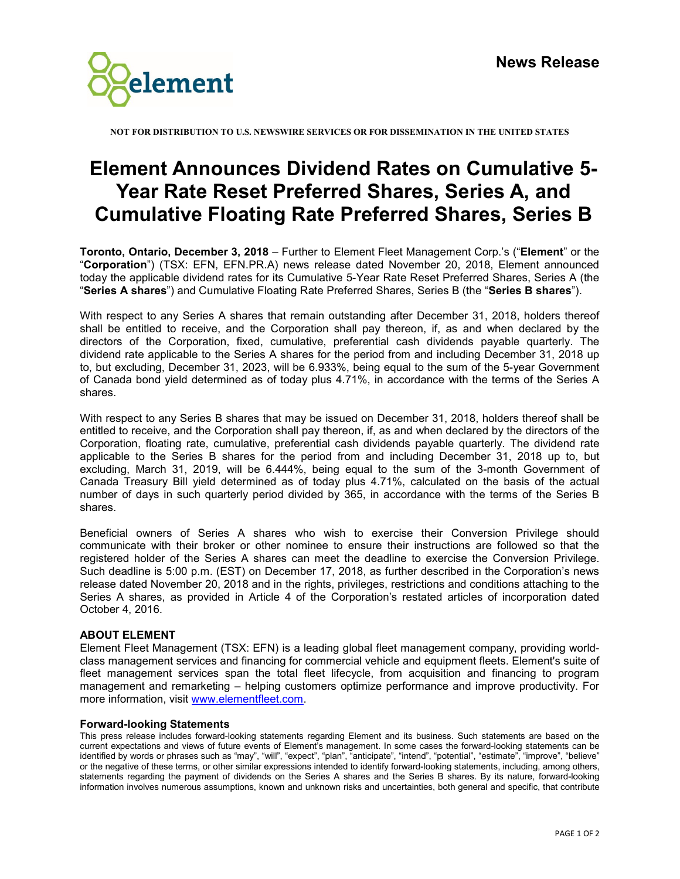

**NOT FOR DISTRIBUTION TO U.S. NEWSWIRE SERVICES OR FOR DISSEMINATION IN THE UNITED STATES**

## **Element Announces Dividend Rates on Cumulative 5- Year Rate Reset Preferred Shares, Series A, and Cumulative Floating Rate Preferred Shares, Series B**

**Toronto, Ontario, December 3, 2018** – Further to Element Fleet Management Corp.'s ("**Element**" or the "**Corporation**") (TSX: EFN, EFN.PR.A) news release dated November 20, 2018, Element announced today the applicable dividend rates for its Cumulative 5-Year Rate Reset Preferred Shares, Series A (the "**Series A shares**") and Cumulative Floating Rate Preferred Shares, Series B (the "**Series B shares**").

With respect to any Series A shares that remain outstanding after December 31, 2018, holders thereof shall be entitled to receive, and the Corporation shall pay thereon, if, as and when declared by the directors of the Corporation, fixed, cumulative, preferential cash dividends payable quarterly. The dividend rate applicable to the Series A shares for the period from and including December 31, 2018 up to, but excluding, December 31, 2023, will be 6.933%, being equal to the sum of the 5-year Government of Canada bond yield determined as of today plus 4.71%, in accordance with the terms of the Series A shares.

With respect to any Series B shares that may be issued on December 31, 2018, holders thereof shall be entitled to receive, and the Corporation shall pay thereon, if, as and when declared by the directors of the Corporation, floating rate, cumulative, preferential cash dividends payable quarterly. The dividend rate applicable to the Series B shares for the period from and including December 31, 2018 up to, but excluding, March 31, 2019, will be 6.444%, being equal to the sum of the 3-month Government of Canada Treasury Bill yield determined as of today plus 4.71%, calculated on the basis of the actual number of days in such quarterly period divided by 365, in accordance with the terms of the Series B shares.

Beneficial owners of Series A shares who wish to exercise their Conversion Privilege should communicate with their broker or other nominee to ensure their instructions are followed so that the registered holder of the Series A shares can meet the deadline to exercise the Conversion Privilege. Such deadline is 5:00 p.m. (EST) on December 17, 2018, as further described in the Corporation's news release dated November 20, 2018 and in the rights, privileges, restrictions and conditions attaching to the Series A shares, as provided in Article 4 of the Corporation's restated articles of incorporation dated October 4, 2016.

## **ABOUT ELEMENT**

Element Fleet Management (TSX: EFN) is a leading global fleet management company, providing worldclass management services and financing for commercial vehicle and equipment fleets. Element's suite of fleet management services span the total fleet lifecycle, from acquisition and financing to program management and remarketing – helping customers optimize performance and improve productivity. For more information, visit [www.elementfleet.com.](http://www.elementfleet.com/)

## **Forward-looking Statements**

This press release includes forward-looking statements regarding Element and its business. Such statements are based on the current expectations and views of future events of Element's management. In some cases the forward-looking statements can be identified by words or phrases such as "may", "will", "expect", "plan", "anticipate", "intend", "potential", "estimate", "improve", "believe" or the negative of these terms, or other similar expressions intended to identify forward-looking statements, including, among others, statements regarding the payment of dividends on the Series A shares and the Series B shares. By its nature, forward-looking information involves numerous assumptions, known and unknown risks and uncertainties, both general and specific, that contribute